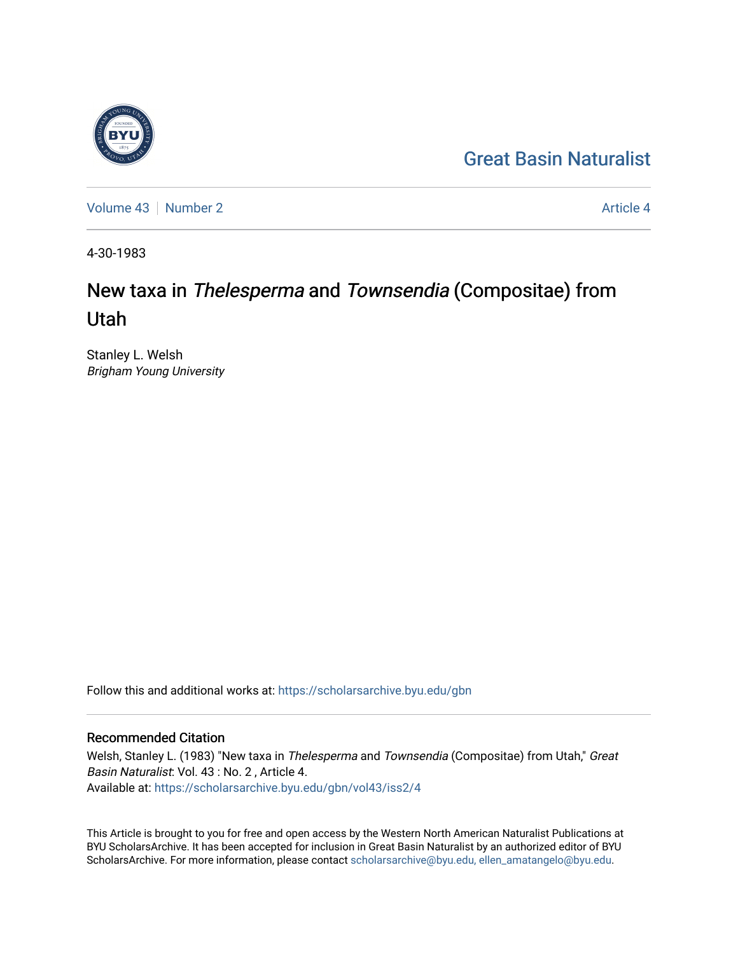## [Great Basin Naturalist](https://scholarsarchive.byu.edu/gbn)

[Volume 43](https://scholarsarchive.byu.edu/gbn/vol43) [Number 2](https://scholarsarchive.byu.edu/gbn/vol43/iss2) [Article 4](https://scholarsarchive.byu.edu/gbn/vol43/iss2/4) Article 4

4-30-1983

# New taxa in Thelesperma and Townsendia (Compositae) from Utah

Stanley L. Welsh Brigham Young University

Follow this and additional works at: [https://scholarsarchive.byu.edu/gbn](https://scholarsarchive.byu.edu/gbn?utm_source=scholarsarchive.byu.edu%2Fgbn%2Fvol43%2Fiss2%2F4&utm_medium=PDF&utm_campaign=PDFCoverPages) 

### Recommended Citation

Welsh, Stanley L. (1983) "New taxa in Thelesperma and Townsendia (Compositae) from Utah," Great Basin Naturalist: Vol. 43 : No. 2 , Article 4. Available at: [https://scholarsarchive.byu.edu/gbn/vol43/iss2/4](https://scholarsarchive.byu.edu/gbn/vol43/iss2/4?utm_source=scholarsarchive.byu.edu%2Fgbn%2Fvol43%2Fiss2%2F4&utm_medium=PDF&utm_campaign=PDFCoverPages)

This Article is brought to you for free and open access by the Western North American Naturalist Publications at BYU ScholarsArchive. It has been accepted for inclusion in Great Basin Naturalist by an authorized editor of BYU ScholarsArchive. For more information, please contact [scholarsarchive@byu.edu, ellen\\_amatangelo@byu.edu.](mailto:scholarsarchive@byu.edu,%20ellen_amatangelo@byu.edu)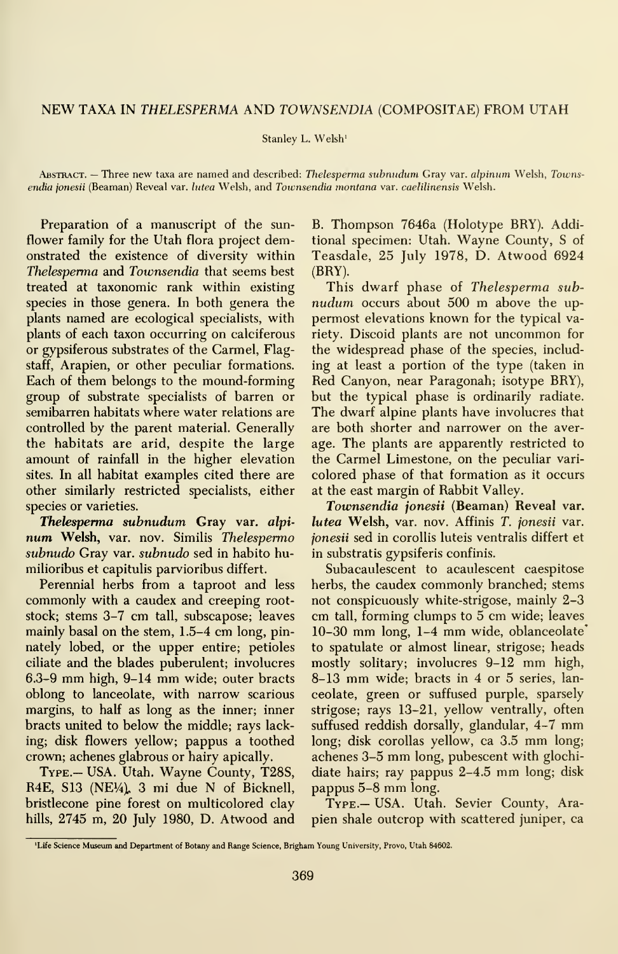### NEW TAXA IN THELESPERMA AND TOWNSENDIA (COMPOSITAE) FROM UTAH

Stanley L. Welsh'

Abstract. — Three new taxa are named and described: Thelesperma subnudum Gray var. alpinum Welsh, Townsendia jonesii (Beaman) Reveal var. lutea Welsh, and Townsendia montana var. caelilinensis Welsh.

Preparation of a manuscript of the sun flower family for the Utah flora project demonstrated the existence of diversity within Thelesperma and Townsendia that seems best treated at taxonomic rank within existing species in those genera. In both genera the plants named are ecological specialists, with plants of each taxon occurring on calciferous or gypsiferous substrates of the Carmel, Flagstaff, Arapien, or other peculiar formations. Each of them belongs to the mound-forming group of substrate specialists of barren or semibarren habitats where water relations are controlled by the parent material. Generally the habitats are arid, despite the large amount of rainfall in the higher elevation sites. In all habitat examples cited there are other similarly restricted specialists, either species or varieties.

Thelesperma subnudum Gray var. alpinum Welsh, var. nov. Similis Thelesperma subnudo Gray var. subnudo sed in habito humilioribus et capitulis parvioribus differt.

Perennial herbs from a taproot and less commonly with a caudex and creeping rootstock; stems 3-7 cm tall, subscapose; leaves mainly basal on the stem, 1.5-4 cm long, pinnately lobed, or the upper entire; petioles ciliate and the blades puberulent; involucres 6.3-9 mm high, 9-14 mm wide; outer bracts oblong to lanceolate, with narrow scarious margins, to half as long as the inner; inner bracts united to below the middle; rays lacking; disk flowers yellow; pappus a toothed crown; achenes glabrous or hairy apically.

TYPE.- USA. Utah. Wayne County, T28S, R4E, S13 (NE $\frac{1}{4}$ ), 3 mi due N of Bicknell, bristlecone pine forest on multicolored clay hills, 2745 m, 20 July 1980, D. Atwood and

B. Thompson 7646a (Holotype BRY). Additional specimen: Utah. Wayne County, <sup>S</sup> of Teasdale, 25 July 1978, D. Atwood 6924 (BRY).

This dwarf phase of Thelesperma subnudum occurs about 500 m above the uppermost elevations known for the typical variety. Discoid plants are not uncommon for the widespread phase of the species, including at least a portion of the type (taken in Red Canyon, near Paragonah; isotype BRY), but the typical phase is ordinarily radiate. The dwarf alpine plants have involucres that are both shorter and narrower on the average. The plants are apparently restricted to the Carmel Limestone, on the peculiar vari colored phase of that formation as it occurs at the east margin of Rabbit Valley.

Townsendia jonesii (Beaman) Reveal var. lutea Welsh, var. nov. Affinis T. jonesii var. ionesii sed in corollis luteis ventralis differt et in substratis gypsiferis confinis.

Subacaulescent to acaulescent caespitose herbs, the caudex commonly branched; stems not conspicuously white-strigose, mainly 2-3 cm tall, forming clumps to 5 cm wide; leaves 10-30 mm long, 1-4 mm wide, oblanceolate' to spatulate or almost linear, strigose; heads mostly solitary; involucres 9-12 mm high, 8-13 mm wide; bracts in <sup>4</sup> or <sup>5</sup> series, lan ceolate, green or suffused purple, sparsely strigose; rays 13-21, yellow ventrally, often suffused reddish dorsally, glandular, 4-7 mm long; disk corollas yellow, ca 3.5 mm long; achenes 3-5 mm long, pubescent with glochidiate hairs; ray pappus 2-4.5 mm long; disk pappus 5-8 mm long.

Type.— USA. Utah. Sevier County, Arapien shale outcrop with scattered juniper, ca

<sup>&#</sup>x27;Life Science Museum and Department of Botany and Range Science, Brigham Young University, Provo, Utah 84602.